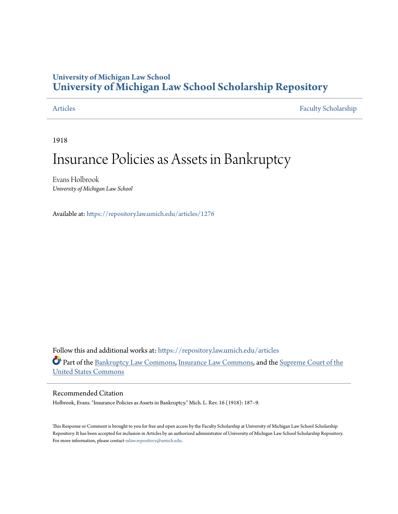## **University of Michigan Law School [University of Michigan Law School Scholarship Repository](https://repository.law.umich.edu?utm_source=repository.law.umich.edu%2Farticles%2F1276&utm_medium=PDF&utm_campaign=PDFCoverPages)**

[Articles](https://repository.law.umich.edu/articles?utm_source=repository.law.umich.edu%2Farticles%2F1276&utm_medium=PDF&utm_campaign=PDFCoverPages) [Faculty Scholarship](https://repository.law.umich.edu/faculty_scholarship?utm_source=repository.law.umich.edu%2Farticles%2F1276&utm_medium=PDF&utm_campaign=PDFCoverPages)

1918

## Insurance Policies as Assets in Bankruptcy

Evans Holbrook *University of Michigan Law School*

Available at: <https://repository.law.umich.edu/articles/1276>

Follow this and additional works at: [https://repository.law.umich.edu/articles](https://repository.law.umich.edu/articles?utm_source=repository.law.umich.edu%2Farticles%2F1276&utm_medium=PDF&utm_campaign=PDFCoverPages) Part of the [Bankruptcy Law Commons,](http://network.bepress.com/hgg/discipline/583?utm_source=repository.law.umich.edu%2Farticles%2F1276&utm_medium=PDF&utm_campaign=PDFCoverPages) [Insurance Law Commons,](http://network.bepress.com/hgg/discipline/607?utm_source=repository.law.umich.edu%2Farticles%2F1276&utm_medium=PDF&utm_campaign=PDFCoverPages) and the [Supreme Court of the](http://network.bepress.com/hgg/discipline/1350?utm_source=repository.law.umich.edu%2Farticles%2F1276&utm_medium=PDF&utm_campaign=PDFCoverPages) [United States Commons](http://network.bepress.com/hgg/discipline/1350?utm_source=repository.law.umich.edu%2Farticles%2F1276&utm_medium=PDF&utm_campaign=PDFCoverPages)

## Recommended Citation

Holbrook, Evans. "Insurance Policies as Assets in Bankruptcy." Mich. L. Rev. 16 (1918): 187–9.

This Response or Comment is brought to you for free and open access by the Faculty Scholarship at University of Michigan Law School Scholarship Repository. It has been accepted for inclusion in Articles by an authorized administrator of University of Michigan Law School Scholarship Repository. For more information, please contact [mlaw.repository@umich.edu](mailto:mlaw.repository@umich.edu).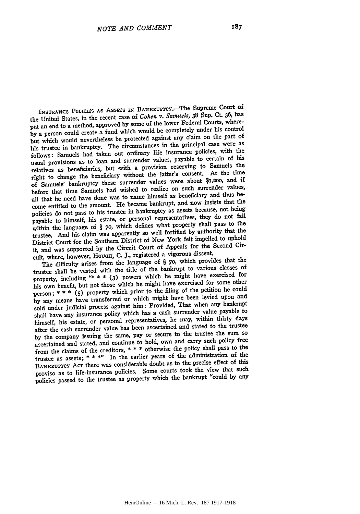INSURANCE POLICIES AS ASSETS IN BANKRUPTCY.-The Supreme Court of the United States, in the recent case of *Cohen v. Samuels,* **38** Sup. Ct **36,** has put an end to a method, approved by some of the lower Federal Courts, whereby a person could create a fund which would be completely under his control but which would nevertheless be protected against any claim on the part of his trustee in bankruptcy. The circumstances in the principal case were as follows: Samuels had taken out ordinary life insurance policies, with the usual provisions as to loan and surrender values, payable to certain of his relatives as beneficiaries, but with a provision reserving to Samuels the right to change the beneficiary without the latter's consent. At the time **of** Samuels' bankruptcy these surrender values were about **\$i,20o,** and if before that time Samuels had wished to realize on such surrender values, all that he need have done was to name himself as beneficiary and thus become entitled to the amount. He became bankrupt, and now insists that the policies do not pass to his trustee in bankruptcy as assets because, not being payable to himself, his estate, or personal representatives, they do not fall within the language of § 7o, which defines what property shall pass to the trustee. And his claim was apparently so well fortified **by** authority that the District Court for the Southern District of New York felt impelled to uphold it, and was supported by the Circuit Court of Appeals for the Second Circuit, where, however, HouGH, **C. J.,** registered a vigorous dissent.

The difficulty arises from the language of § 7o, which provides that the trustee shall be vested with the title of the bankrupt to various classes of property, including "\* **\* \*** (3) powers which he might have exercised for his own benefit, but not those which he might have exercised for some other person; \* **\*** \* **(5)** property which prior to the filing of the petition he could by any means have transferred or which might have been levied upon and sold under judicial process against him: Provided, That when any bankrupt shall have any insurance policy which has a cash surrender value payable to himself, his estate, or personal representatives, he may, within thirty days after the cash surrender value has been ascertained and stated to the trustee **by** the company issuing the same, pay or secure to the trustee the sum so ascertained and stated, and continue to hold, own and carry such policy free from the claims of the creditors, **\* \* \*** otherwise the policy shall pass to the trustee as assets; **\* \* \*"** In the earlier years of the administration of the BANKRUPTCY ACT there was considerable doubt as to the precise effect of this proviso as to life-insurance policies. Some courts took the view that such -policies passed to the trustee as property which the bankrupt "could **by** any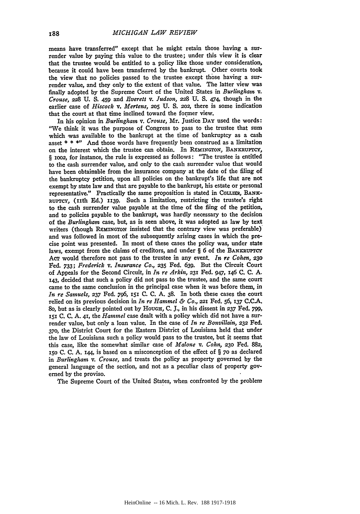means have transferred" except that he might retain those having a surrender value **by** paying this value to the trustee; under this view it is clear that the trustee would be entitled to a policy like those under consideration, because it could have been transferred **by** the bankrupt. Other courts took the view that no policies passed to the trustee except those having a surrender value, and they only to the extent of that value. The latter view was finally adopted **by** the Supreme Court of the United States in *Burlinghan v. Crouse,* **228 U. S.** 459 and *Everett v. Judson,* **228 U. S.** 474, though in the earlier case of *Hiscock v. Mertens,* **205 U. S. 2o2,** there is some indication that the court at that time inclined toward the former view.

In his opinion in *Burlinghan v. Crouse,* Mr. Justice **DAY** used the words: "We think it was the purpose of Congress to pass to the trustee that sum which was available to the bankrupt at the time of bankruptcy as a cash asset **\* \* \*"** And those words have frequently been construed as a limitation on the interest which the trustee can obtain. In REMINGTON, BANKRUPTCY. § **ioo2,** for instance, the rule is expressed as follows: "The trustee is entitled to the cash surrender value, and only to the cash surrender value that would have been obtainable from the insurance company at the date of the filing of the bankruptcy petition, upon all policies on the bankrupt's life that are not exempt by state law and that are payable to the bankrupt, his estate or personal representative." Practically the same proposition is stated in CoLLER, BANK-**RUPTCY,** (IIth **Ed.) ii39.** Such a limitation, restricting the trustee's right to the cash surrender value payable at the time of the fiing of the petition, and to policies payable to the bankrupt, was hardly necessary to the decision of the *Burlingham* case, but, as is seen above, it was adopted as law by text writers (though REMINGTON insisted that the contrary view was preferable) and was followed in most of the subsequently arising cases in which the precise point was presented. In most of these cases the policy was, under state laws, exempt from the claims of creditors, and under § **6** of the **BANKRUPTCY AcT** would therefore not pass to the trustee in any event. *In re Cohen,* **230** Fed. **733;** *Frederick v. Insurance Co.,* **235** Fed. 639. But the Circuit Court of Appeals for the Second Circuit, in *In re Arkin,* **231** Fed. 947, x46 **C. C. A. 143,** decided that such a policy did not pass to the trustee, and the same court came to the same conclusion in the principal case when it was before them, in *In re Samuels,* **237** Fed. 796, **151 C. C. A. 38.** In both these cases the court relied on its previous decision in *In re Hammel & Co.,* **221** Fed. **56, 137 C.C.A.** 80, but as is clearly pointed out by HouGH, C. J., in his dissent in 237 Fed. 799, **151 C. C. A. 41,** the *Hammel* case dealt with a policy which did not have a surrender value, but only a loan value. In the case of *In re Bonvillain,* **232** Fed. **370,** the District Court for the Eastern District of Louisiana held that under the law of Louisiana such a policy would pass to the trustee, but it seems that this case, like the somewhat similar case of *Malone v. Cohn,* **230** Fed. **882, 150 C. C. A. 144,** is based on a misconception of the effect **of** § **7o** as declared in *Burlinghan v. Crouse,* and treats the policy as property governed **by** the general language of the section, and not as a peculiar class of property governed **by** the proviso.

The Supreme Court of the United States, when confronted **by** the problem